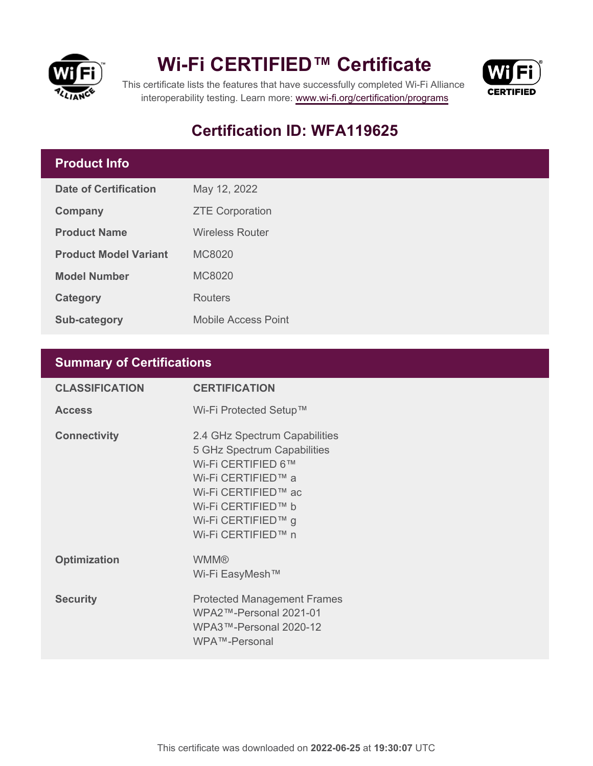



This certificate lists the features that have successfully completed Wi-Fi Alliance interoperability testing. Learn more:<www.wi-fi.org/certification/programs>

#### **Certification ID: WFA119625**

#### **Product Info**

| Date of Certification        | May 12, 2022               |
|------------------------------|----------------------------|
| Company                      | <b>ZTE Corporation</b>     |
| <b>Product Name</b>          | <b>Wireless Router</b>     |
| <b>Product Model Variant</b> | MC8020                     |
| <b>Model Number</b>          | MC8020                     |
| Category                     | Routers                    |
| <b>Sub-category</b>          | <b>Mobile Access Point</b> |

#### **Summary of Certifications**

| <b>CLASSIFICATION</b> | <b>CERTIFICATION</b>                                                                                                                                                                              |
|-----------------------|---------------------------------------------------------------------------------------------------------------------------------------------------------------------------------------------------|
| <b>Access</b>         | Wi-Fi Protected Setup™                                                                                                                                                                            |
| <b>Connectivity</b>   | 2.4 GHz Spectrum Capabilities<br>5 GHz Spectrum Capabilities<br>Wi-Fi CERTIFIED 6™<br>Wi-Fi CERTIFIED™ a<br>Wi-Fi CERTIFIED™ ac<br>Wi-Fi CERTIFIED™ b<br>Wi-Fi CERTIFIED™ g<br>Wi-Fi CERTIFIED™ n |
| <b>Optimization</b>   | <b>WMM®</b><br>Wi-Fi EasyMesh™                                                                                                                                                                    |
| <b>Security</b>       | <b>Protected Management Frames</b><br>WPA2™-Personal 2021-01<br>WPA3™-Personal 2020-12<br>WPA™-Personal                                                                                           |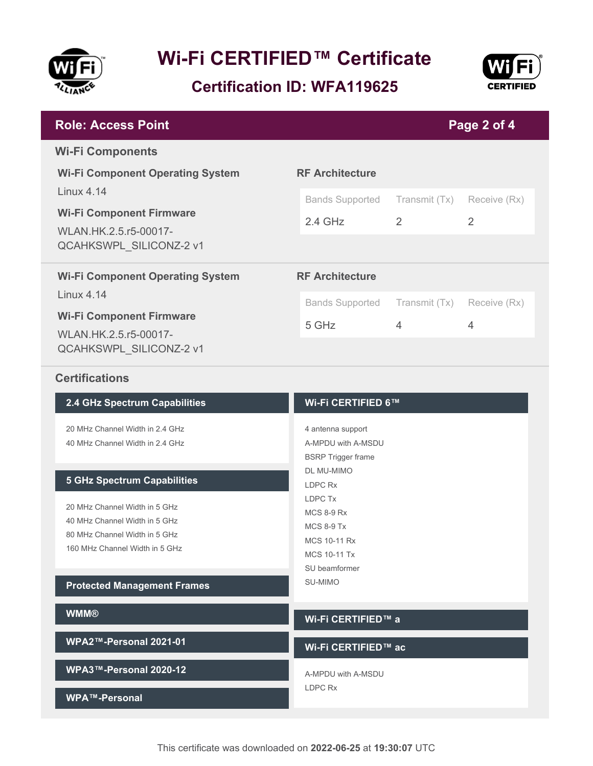

**Certification ID: WFA119625**



| <b>Role: Access Point</b>                                                           |                                                 |                    | Page 2 of 4    |  |
|-------------------------------------------------------------------------------------|-------------------------------------------------|--------------------|----------------|--|
| <b>Wi-Fi Components</b>                                                             |                                                 |                    |                |  |
| <b>Wi-Fi Component Operating System</b>                                             | <b>RF Architecture</b>                          |                    |                |  |
| $I$ inux 4 14                                                                       | <b>Bands Supported</b>                          | Transmit (Tx)      | Receive (Rx)   |  |
| <b>Wi-Fi Component Firmware</b><br>WLAN.HK.2.5.r5-00017-<br>QCAHKSWPL_SILICONZ-2 v1 | $2.4$ GHz                                       | 2                  | $\overline{2}$ |  |
|                                                                                     |                                                 |                    |                |  |
| <b>Wi-Fi Component Operating System</b>                                             | <b>RF Architecture</b>                          |                    |                |  |
| <b>Linux 4.14</b>                                                                   | <b>Bands Supported</b>                          | Transmit (Tx)      | Receive (Rx)   |  |
| <b>Wi-Fi Component Firmware</b><br>WLAN.HK.2.5.r5-00017-                            | 5 GHz                                           | 4                  | 4              |  |
| QCAHKSWPL_SILICONZ-2 v1                                                             |                                                 |                    |                |  |
| <b>Certifications</b>                                                               |                                                 |                    |                |  |
| 2.4 GHz Spectrum Capabilities                                                       |                                                 | Wi-Fi CERTIFIED 6™ |                |  |
| 20 MHz Channel Width in 2.4 GHz                                                     | 4 antenna support                               |                    |                |  |
| 40 MHz Channel Width in 2.4 GHz                                                     | A-MPDU with A-MSDU<br><b>BSRP</b> Trigger frame |                    |                |  |
|                                                                                     | <b>DL MU-MIMO</b>                               |                    |                |  |
| <b>5 GHz Spectrum Capabilities</b>                                                  | LDPC Rx                                         |                    |                |  |

LDPC Tx MCS 8-9 Rx MCS 8-9 Tx MCS 10-11 Rx MCS 10-11 Tx SU beamformer SU-MIMO

20 MHz Channel Width in 5 GHz 40 MHz Channel Width in 5 GHz 80 MHz Channel Width in 5 GHz 160 MHz Channel Width in 5 GHz

**Protected Management Frames**

| <b>WMM®</b>            | Wi-Fi CERTIFIED™ a  |
|------------------------|---------------------|
| WPA2™-Personal 2021-01 | Wi-Fi CERTIFIED™ ac |
| WPA3™-Personal 2020-12 | A-MPDU with A-MSDU  |
| WPA™-Personal          | LDPC Rx             |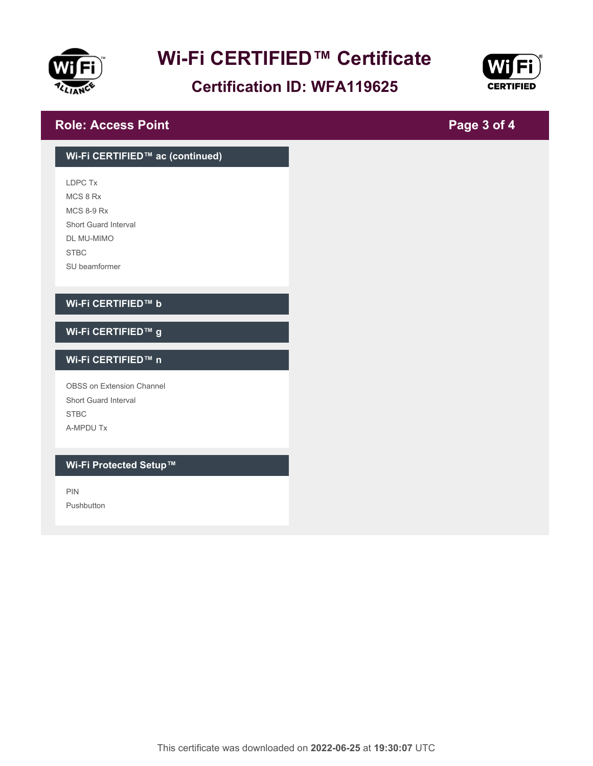

#### **Certification ID: WFA119625**



**Page 3 of 4**

#### **Role: Access Point**

### **Wi-Fi CERTIFIED™ ac (continued)** LDPC Tx MCS 8 Rx MCS 8-9 Rx Short Guard Interval DL MU-MIMO STBC SU beamformer **Wi-Fi CERTIFIED™ b Wi-Fi CERTIFIED™ g Wi-Fi CERTIFIED™ n** OBSS on Extension Channel Short Guard Interval **STBC** A-MPDU Tx **Wi-Fi Protected Setup™** PIN Pushbutton